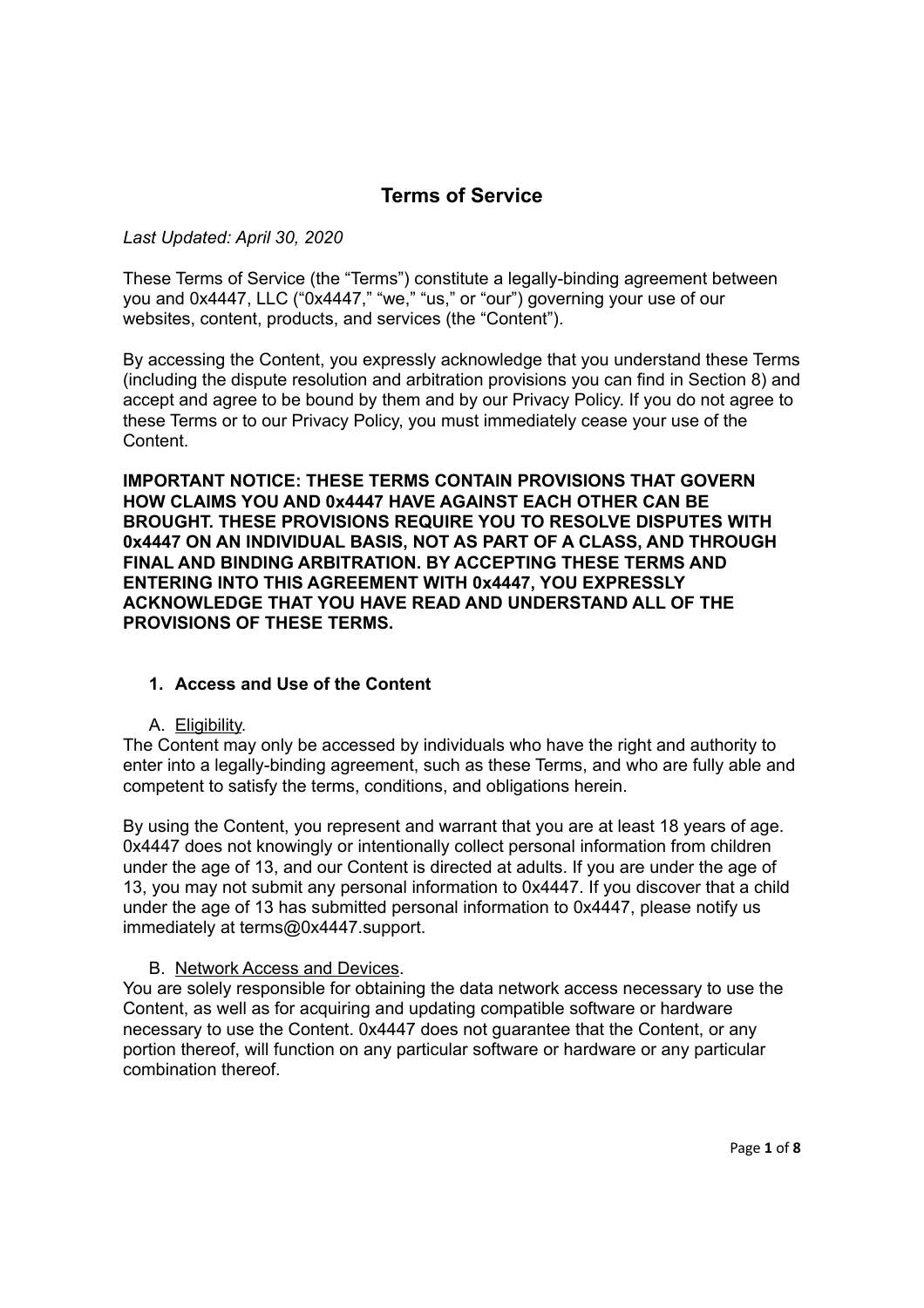# **Terms of Service**

### *Last Updated: April 30, 2020*

These Terms of Service (the "Terms") constitute a legally-binding agreement between you and 0x4447, LLC ("0x4447," "we," "us," or "our") governing your use of our websites, content, products, and services (the "Content").

By accessing the Content, you expressly acknowledge that you understand these Terms (including the dispute resolution and arbitration provisions you can find in Section 8) and accept and agree to be bound by them and by our Privacy Policy. If you do not agree to these Terms or to our Privacy Policy, you must immediately cease your use of the Content.

**IMPORTANT NOTICE: THESE TERMS CONTAIN PROVISIONS THAT GOVERN HOW CLAIMS YOU AND 0x4447 HAVE AGAINST EACH OTHER CAN BE BROUGHT. THESE PROVISIONS REQUIRE YOU TO RESOLVE DISPUTES WITH 0x4447 ON AN INDIVIDUAL BASIS, NOT AS PART OF A CLASS, AND THROUGH FINAL AND BINDING ARBITRATION. BY ACCEPTING THESE TERMS AND ENTERING INTO THIS AGREEMENT WITH 0x4447, YOU EXPRESSLY ACKNOWLEDGE THAT YOU HAVE READ AND UNDERSTAND ALL OF THE PROVISIONS OF THESE TERMS.** 

### **1. Access and Use of the Content**

#### A. Eligibility.

The Content may only be accessed by individuals who have the right and authority to enter into a legally-binding agreement, such as these Terms, and who are fully able and competent to satisfy the terms, conditions, and obligations herein.

By using the Content, you represent and warrant that you are at least 18 years of age. 0x4447 does not knowingly or intentionally collect personal information from children under the age of 13, and our Content is directed at adults. If you are under the age of 13, you may not submit any personal information to 0x4447. If you discover that a child under the age of 13 has submitted personal information to 0x4447, please notify us immediately at terms@0x4447.support.

#### B. Network Access and Devices.

You are solely responsible for obtaining the data network access necessary to use the Content, as well as for acquiring and updating compatible software or hardware necessary to use the Content. 0x4447 does not guarantee that the Content, or any portion thereof, will function on any particular software or hardware or any particular combination thereof.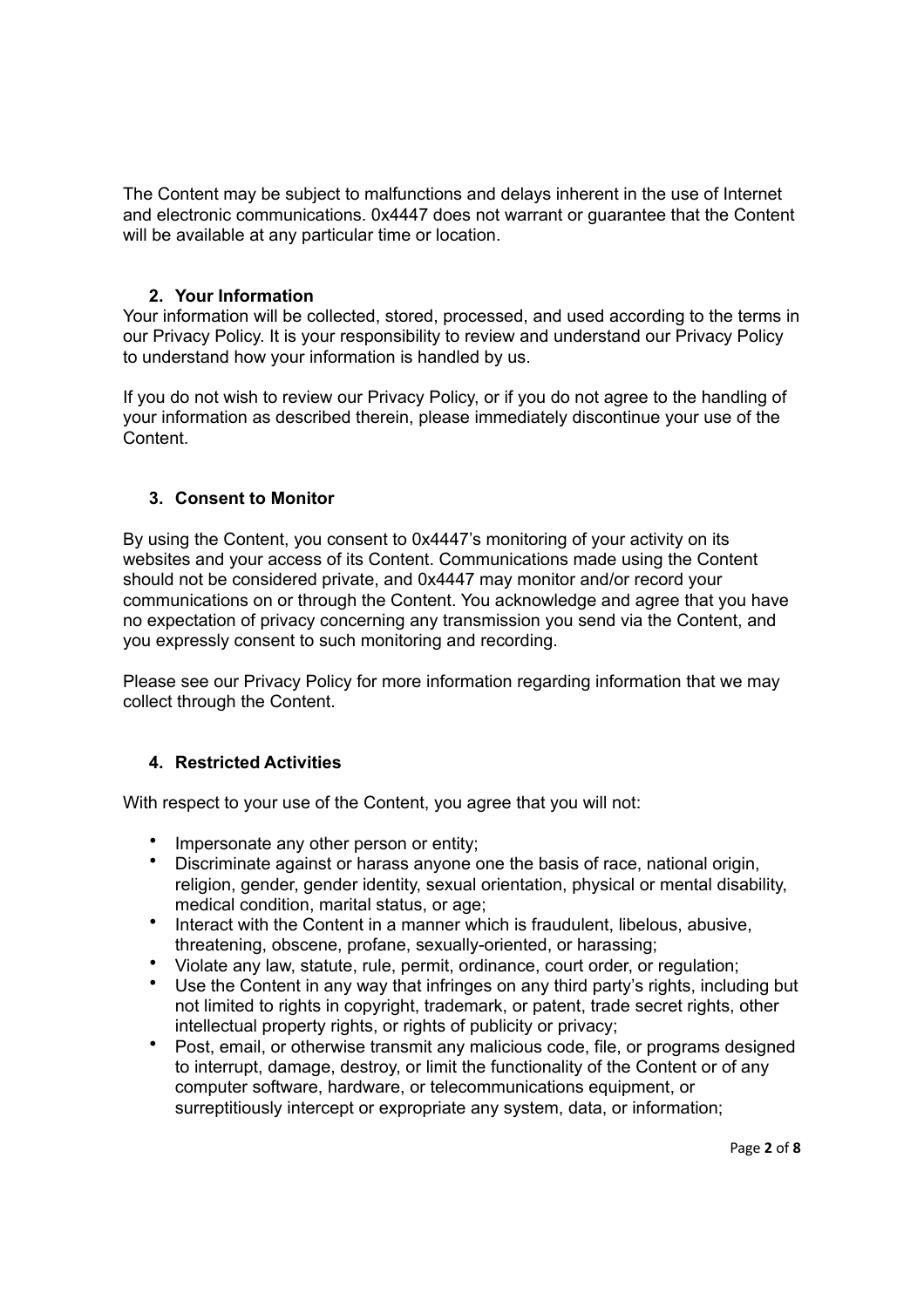The Content may be subject to malfunctions and delays inherent in the use of Internet and electronic communications. 0x4447 does not warrant or guarantee that the Content will be available at any particular time or location.

### **2. Your Information**

Your information will be collected, stored, processed, and used according to the terms in our Privacy Policy. It is your responsibility to review and understand our Privacy Policy to understand how your information is handled by us.

If you do not wish to review our Privacy Policy, or if you do not agree to the handling of your information as described therein, please immediately discontinue your use of the **Content** 

### **3. Consent to Monitor**

By using the Content, you consent to 0x4447's monitoring of your activity on its websites and your access of its Content. Communications made using the Content should not be considered private, and 0x4447 may monitor and/or record your communications on or through the Content. You acknowledge and agree that you have no expectation of privacy concerning any transmission you send via the Content, and you expressly consent to such monitoring and recording.

Please see our Privacy Policy for more information regarding information that we may collect through the Content.

### **4. Restricted Activities**

With respect to your use of the Content, you agree that you will not:

- Impersonate any other person or entity;
- Discriminate against or harass anyone one the basis of race, national origin, religion, gender, gender identity, sexual orientation, physical or mental disability, medical condition, marital status, or age;
- Interact with the Content in a manner which is fraudulent, libelous, abusive, threatening, obscene, profane, sexually-oriented, or harassing;
- Violate any law, statute, rule, permit, ordinance, court order, or regulation;
- Use the Content in any way that infringes on any third party's rights, including but not limited to rights in copyright, trademark, or patent, trade secret rights, other intellectual property rights, or rights of publicity or privacy;
- Post, email, or otherwise transmit any malicious code, file, or programs designed to interrupt, damage, destroy, or limit the functionality of the Content or of any computer software, hardware, or telecommunications equipment, or surreptitiously intercept or expropriate any system, data, or information;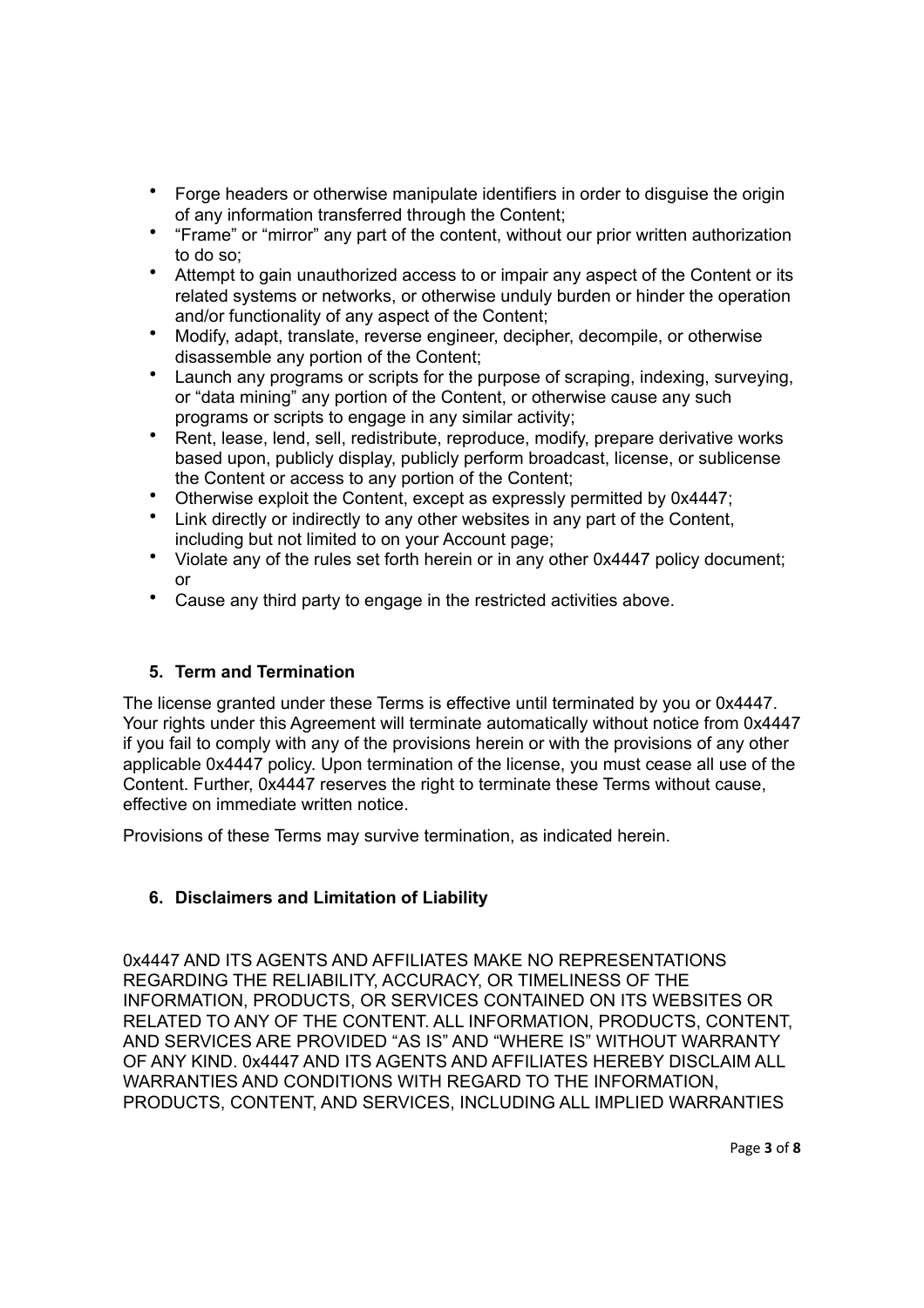- Forge headers or otherwise manipulate identifiers in order to disguise the origin of any information transferred through the Content;
- "Frame" or "mirror" any part of the content, without our prior written authorization to do so;
- Attempt to gain unauthorized access to or impair any aspect of the Content or its related systems or networks, or otherwise unduly burden or hinder the operation and/or functionality of any aspect of the Content;
- Modify, adapt, translate, reverse engineer, decipher, decompile, or otherwise disassemble any portion of the Content;
- Launch any programs or scripts for the purpose of scraping, indexing, surveying, or "data mining" any portion of the Content, or otherwise cause any such programs or scripts to engage in any similar activity;
- Rent, lease, lend, sell, redistribute, reproduce, modify, prepare derivative works based upon, publicly display, publicly perform broadcast, license, or sublicense the Content or access to any portion of the Content;
- Otherwise exploit the Content, except as expressly permitted by 0x4447;
- Link directly or indirectly to any other websites in any part of the Content, including but not limited to on your Account page;
- Violate any of the rules set forth herein or in any other 0x4447 policy document; or
- Cause any third party to engage in the restricted activities above.

## **5. Term and Termination**

The license granted under these Terms is effective until terminated by you or 0x4447. Your rights under this Agreement will terminate automatically without notice from 0x4447 if you fail to comply with any of the provisions herein or with the provisions of any other applicable 0x4447 policy. Upon termination of the license, you must cease all use of the Content. Further, 0x4447 reserves the right to terminate these Terms without cause, effective on immediate written notice.

Provisions of these Terms may survive termination, as indicated herein.

## **6. Disclaimers and Limitation of Liability**

0x4447 AND ITS AGENTS AND AFFILIATES MAKE NO REPRESENTATIONS REGARDING THE RELIABILITY, ACCURACY, OR TIMELINESS OF THE INFORMATION, PRODUCTS, OR SERVICES CONTAINED ON ITS WEBSITES OR RELATED TO ANY OF THE CONTENT. ALL INFORMATION, PRODUCTS, CONTENT, AND SERVICES ARE PROVIDED "AS IS" AND "WHERE IS" WITHOUT WARRANTY OF ANY KIND. 0x4447 AND ITS AGENTS AND AFFILIATES HEREBY DISCLAIM ALL WARRANTIES AND CONDITIONS WITH REGARD TO THE INFORMATION, PRODUCTS, CONTENT, AND SERVICES, INCLUDING ALL IMPLIED WARRANTIES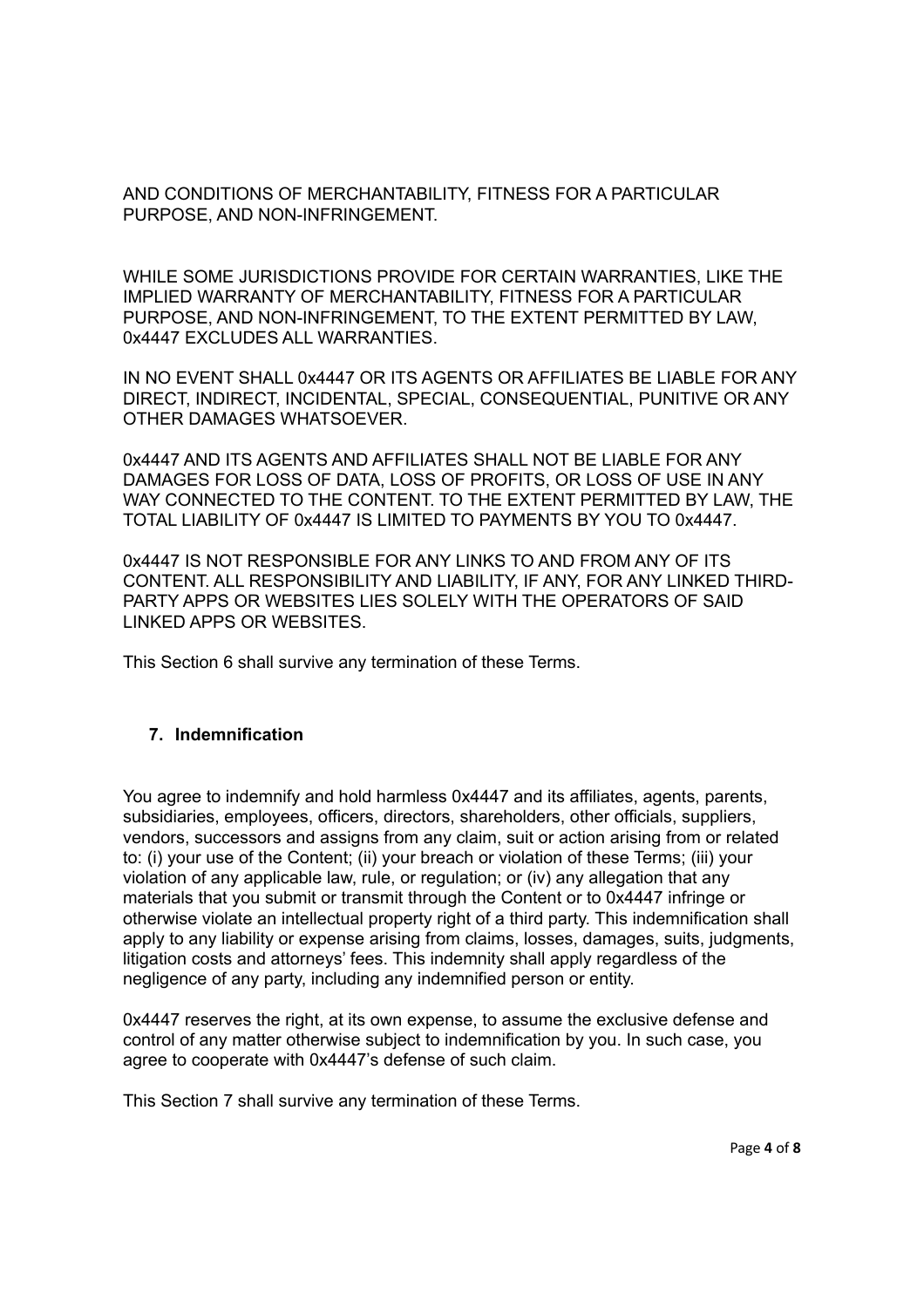AND CONDITIONS OF MERCHANTABILITY, FITNESS FOR A PARTICULAR PURPOSE, AND NON-INFRINGEMENT.

WHILE SOME JURISDICTIONS PROVIDE FOR CERTAIN WARRANTIES, LIKE THE IMPLIED WARRANTY OF MERCHANTABILITY, FITNESS FOR A PARTICULAR PURPOSE, AND NON-INFRINGEMENT, TO THE EXTENT PERMITTED BY LAW, 0x4447 EXCLUDES ALL WARRANTIES.

IN NO EVENT SHALL 0x4447 OR ITS AGENTS OR AFFILIATES BE LIABLE FOR ANY DIRECT, INDIRECT, INCIDENTAL, SPECIAL, CONSEQUENTIAL, PUNITIVE OR ANY OTHER DAMAGES WHATSOEVER.

0x4447 AND ITS AGENTS AND AFFILIATES SHALL NOT BE LIABLE FOR ANY DAMAGES FOR LOSS OF DATA, LOSS OF PROFITS, OR LOSS OF USE IN ANY WAY CONNECTED TO THE CONTENT. TO THE EXTENT PERMITTED BY LAW, THE TOTAL LIABILITY OF 0x4447 IS LIMITED TO PAYMENTS BY YOU TO 0x4447.

0x4447 IS NOT RESPONSIBLE FOR ANY LINKS TO AND FROM ANY OF ITS CONTENT. ALL RESPONSIBILITY AND LIABILITY, IF ANY, FOR ANY LINKED THIRD-PARTY APPS OR WEBSITES LIES SOLELY WITH THE OPERATORS OF SAID LINKED APPS OR WEBSITES.

This Section 6 shall survive any termination of these Terms.

### **7. Indemnification**

You agree to indemnify and hold harmless 0x4447 and its affiliates, agents, parents, subsidiaries, employees, officers, directors, shareholders, other officials, suppliers, vendors, successors and assigns from any claim, suit or action arising from or related to: (i) your use of the Content; (ii) your breach or violation of these Terms; (iii) your violation of any applicable law, rule, or regulation; or (iv) any allegation that any materials that you submit or transmit through the Content or to 0x4447 infringe or otherwise violate an intellectual property right of a third party. This indemnification shall apply to any liability or expense arising from claims, losses, damages, suits, judgments, litigation costs and attorneys' fees. This indemnity shall apply regardless of the negligence of any party, including any indemnified person or entity.

0x4447 reserves the right, at its own expense, to assume the exclusive defense and control of any matter otherwise subject to indemnification by you. In such case, you agree to cooperate with 0x4447's defense of such claim.

This Section 7 shall survive any termination of these Terms.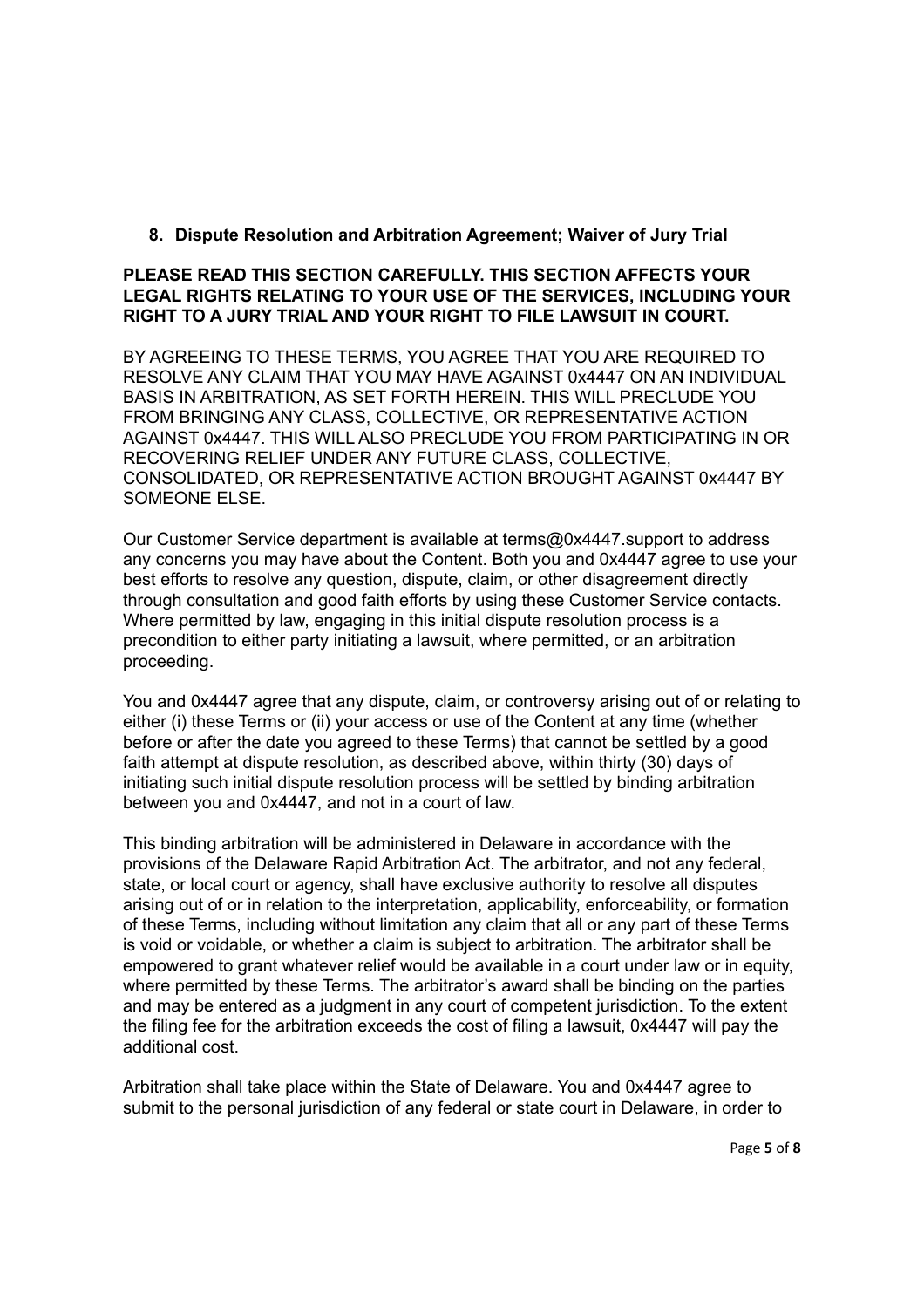### **8. Dispute Resolution and Arbitration Agreement; Waiver of Jury Trial**

#### **PLEASE READ THIS SECTION CAREFULLY. THIS SECTION AFFECTS YOUR LEGAL RIGHTS RELATING TO YOUR USE OF THE SERVICES, INCLUDING YOUR RIGHT TO A JURY TRIAL AND YOUR RIGHT TO FILE LAWSUIT IN COURT.**

BY AGREEING TO THESE TERMS, YOU AGREE THAT YOU ARE REQUIRED TO RESOLVE ANY CLAIM THAT YOU MAY HAVE AGAINST 0x4447 ON AN INDIVIDUAL BASIS IN ARBITRATION, AS SET FORTH HEREIN. THIS WILL PRECLUDE YOU FROM BRINGING ANY CLASS, COLLECTIVE, OR REPRESENTATIVE ACTION AGAINST 0x4447. THIS WILL ALSO PRECLUDE YOU FROM PARTICIPATING IN OR RECOVERING RELIEF UNDER ANY FUTURE CLASS, COLLECTIVE, CONSOLIDATED, OR REPRESENTATIVE ACTION BROUGHT AGAINST 0x4447 BY SOMEONE ELSE.

Our Customer Service department is available at terms@0x4447.support to address any concerns you may have about the Content. Both you and 0x4447 agree to use your best efforts to resolve any question, dispute, claim, or other disagreement directly through consultation and good faith efforts by using these Customer Service contacts. Where permitted by law, engaging in this initial dispute resolution process is a precondition to either party initiating a lawsuit, where permitted, or an arbitration proceeding.

You and 0x4447 agree that any dispute, claim, or controversy arising out of or relating to either (i) these Terms or (ii) your access or use of the Content at any time (whether before or after the date you agreed to these Terms) that cannot be settled by a good faith attempt at dispute resolution, as described above, within thirty (30) days of initiating such initial dispute resolution process will be settled by binding arbitration between you and 0x4447, and not in a court of law.

This binding arbitration will be administered in Delaware in accordance with the provisions of the Delaware Rapid Arbitration Act. The arbitrator, and not any federal, state, or local court or agency, shall have exclusive authority to resolve all disputes arising out of or in relation to the interpretation, applicability, enforceability, or formation of these Terms, including without limitation any claim that all or any part of these Terms is void or voidable, or whether a claim is subject to arbitration. The arbitrator shall be empowered to grant whatever relief would be available in a court under law or in equity, where permitted by these Terms. The arbitrator's award shall be binding on the parties and may be entered as a judgment in any court of competent jurisdiction. To the extent the filing fee for the arbitration exceeds the cost of filing a lawsuit, 0x4447 will pay the additional cost.

Arbitration shall take place within the State of Delaware. You and 0x4447 agree to submit to the personal jurisdiction of any federal or state court in Delaware, in order to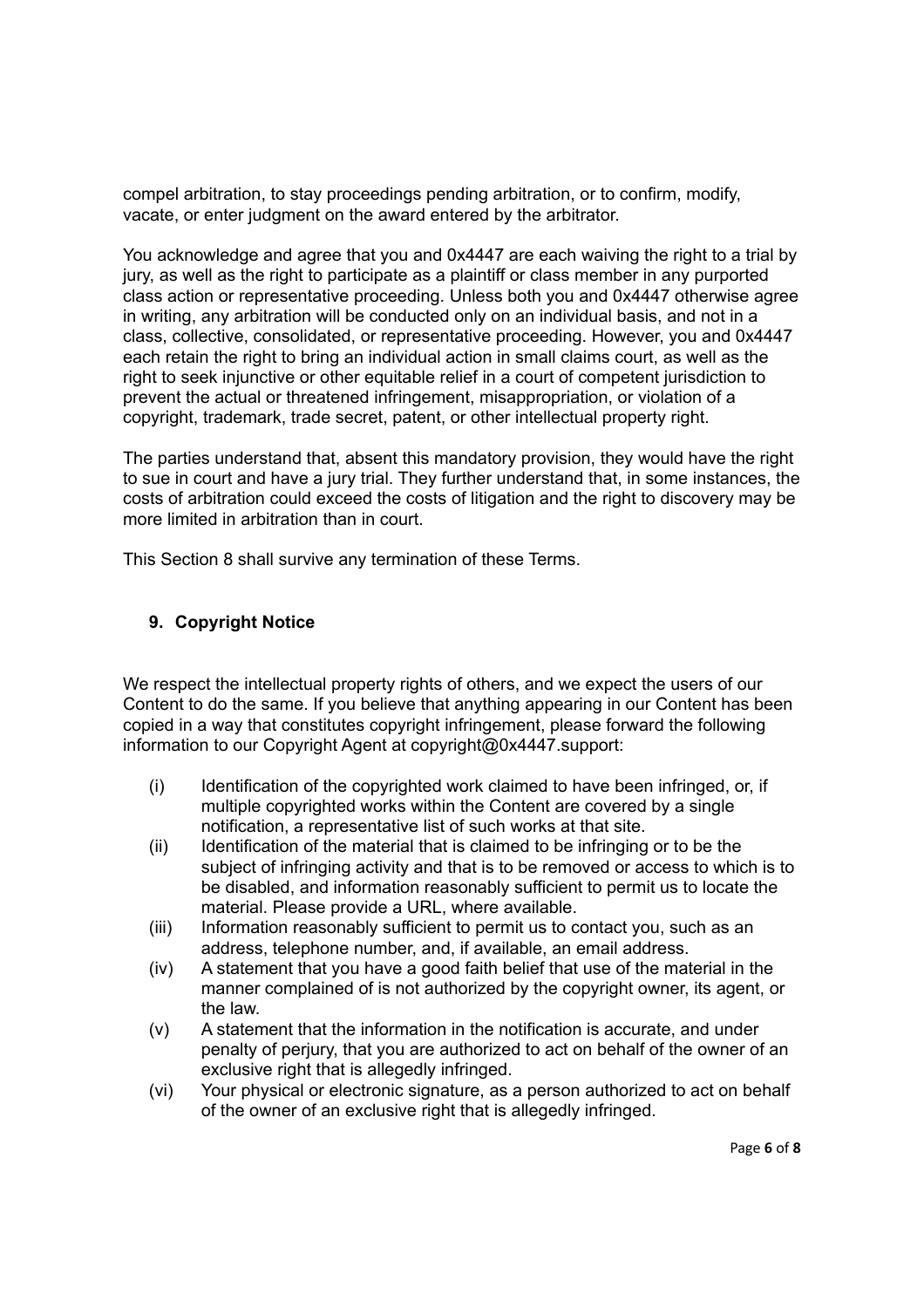compel arbitration, to stay proceedings pending arbitration, or to confirm, modify, vacate, or enter judgment on the award entered by the arbitrator.

You acknowledge and agree that you and 0x4447 are each waiving the right to a trial by jury, as well as the right to participate as a plaintiff or class member in any purported class action or representative proceeding. Unless both you and 0x4447 otherwise agree in writing, any arbitration will be conducted only on an individual basis, and not in a class, collective, consolidated, or representative proceeding. However, you and 0x4447 each retain the right to bring an individual action in small claims court, as well as the right to seek injunctive or other equitable relief in a court of competent jurisdiction to prevent the actual or threatened infringement, misappropriation, or violation of a copyright, trademark, trade secret, patent, or other intellectual property right.

The parties understand that, absent this mandatory provision, they would have the right to sue in court and have a jury trial. They further understand that, in some instances, the costs of arbitration could exceed the costs of litigation and the right to discovery may be more limited in arbitration than in court.

This Section 8 shall survive any termination of these Terms.

### **9. Copyright Notice**

We respect the intellectual property rights of others, and we expect the users of our Content to do the same. If you believe that anything appearing in our Content has been copied in a way that constitutes copyright infringement, please forward the following information to our Copyright Agent at copyright@0x4447.support:

- (i) Identification of the copyrighted work claimed to have been infringed, or, if multiple copyrighted works within the Content are covered by a single notification, a representative list of such works at that site.
- (ii) Identification of the material that is claimed to be infringing or to be the subject of infringing activity and that is to be removed or access to which is to be disabled, and information reasonably sufficient to permit us to locate the material. Please provide a URL, where available.
- (iii) Information reasonably sufficient to permit us to contact you, such as an address, telephone number, and, if available, an email address.
- (iv) A statement that you have a good faith belief that use of the material in the manner complained of is not authorized by the copyright owner, its agent, or the law.
- (v) A statement that the information in the notification is accurate, and under penalty of perjury, that you are authorized to act on behalf of the owner of an exclusive right that is allegedly infringed.
- (vi) Your physical or electronic signature, as a person authorized to act on behalf of the owner of an exclusive right that is allegedly infringed.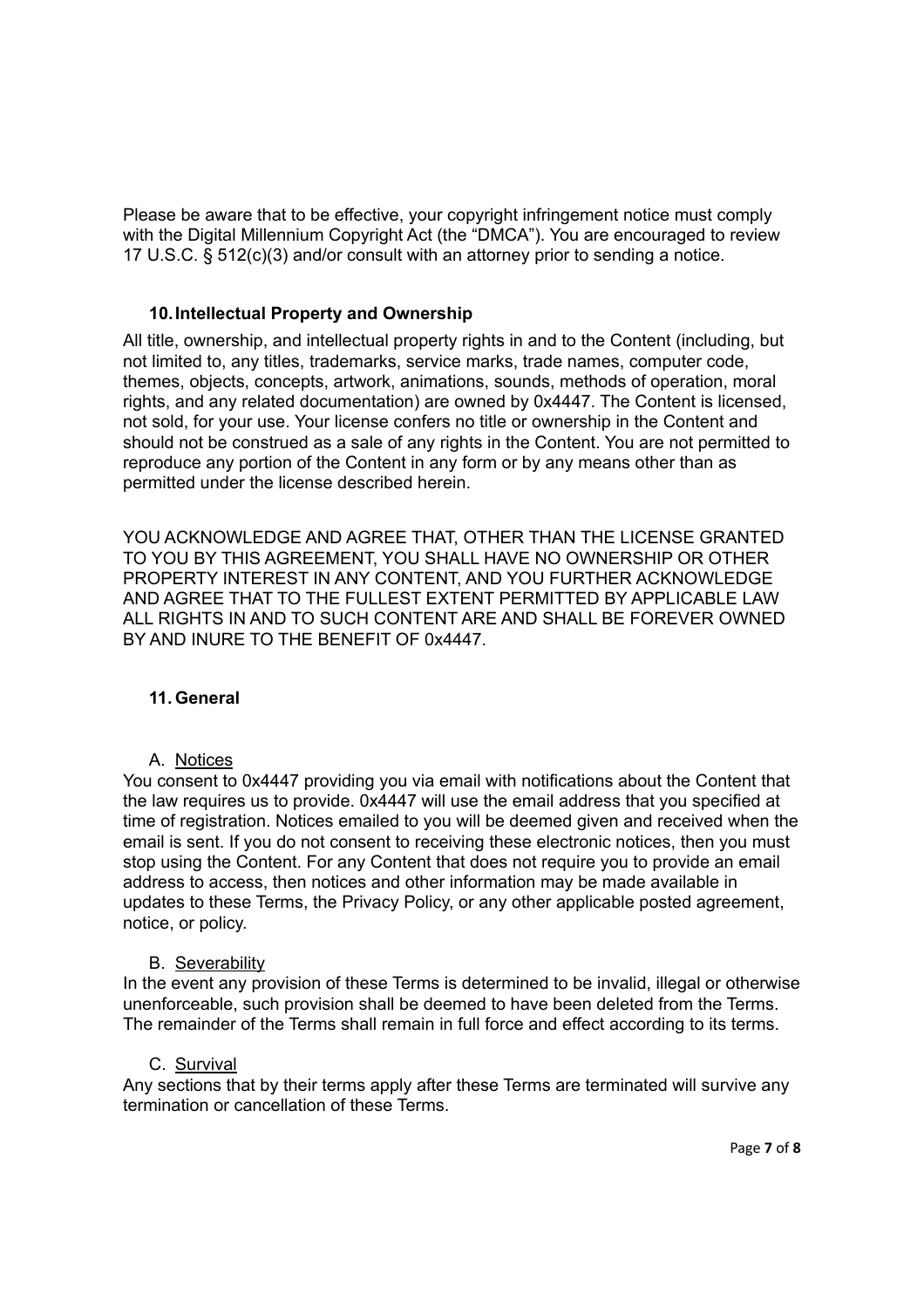Please be aware that to be effective, your copyright infringement notice must comply with the Digital Millennium Copyright Act (the "DMCA"). You are encouraged to review 17 U.S.C. § 512(c)(3) and/or consult with an attorney prior to sending a notice.

#### **10.Intellectual Property and Ownership**

All title, ownership, and intellectual property rights in and to the Content (including, but not limited to, any titles, trademarks, service marks, trade names, computer code, themes, objects, concepts, artwork, animations, sounds, methods of operation, moral rights, and any related documentation) are owned by 0x4447. The Content is licensed, not sold, for your use. Your license confers no title or ownership in the Content and should not be construed as a sale of any rights in the Content. You are not permitted to reproduce any portion of the Content in any form or by any means other than as permitted under the license described herein.

YOU ACKNOWLEDGE AND AGREE THAT, OTHER THAN THE LICENSE GRANTED TO YOU BY THIS AGREEMENT, YOU SHALL HAVE NO OWNERSHIP OR OTHER PROPERTY INTEREST IN ANY CONTENT, AND YOU FURTHER ACKNOWLEDGE AND AGREE THAT TO THE FULLEST EXTENT PERMITTED BY APPLICABLE LAW ALL RIGHTS IN AND TO SUCH CONTENT ARE AND SHALL BE FOREVER OWNED BY AND INURE TO THE BENEFIT OF 0x4447.

#### **11. General**

A. Notices

You consent to 0x4447 providing you via email with notifications about the Content that the law requires us to provide. 0x4447 will use the email address that you specified at time of registration. Notices emailed to you will be deemed given and received when the email is sent. If you do not consent to receiving these electronic notices, then you must stop using the Content. For any Content that does not require you to provide an email address to access, then notices and other information may be made available in updates to these Terms, the Privacy Policy, or any other applicable posted agreement, notice, or policy.

### B. Severability

In the event any provision of these Terms is determined to be invalid, illegal or otherwise unenforceable, such provision shall be deemed to have been deleted from the Terms. The remainder of the Terms shall remain in full force and effect according to its terms.

#### C. Survival

Any sections that by their terms apply after these Terms are terminated will survive any termination or cancellation of these Terms.